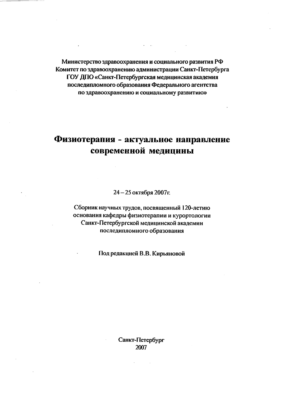Министерство здравоохранения и социального развития РФ Комитет по здравоохранению администрации Санкт-Петербурга ГОУ ДПО «Санкт-Петербургская медицинская академия последипломного образования Федерального агентства по здравоохранению и социальному развитию»

## Физиотерапия - актуальное направление современной медицины

24-25 октября 2007г.

Сборник научных трудов, посвященный 120-летию основания кафедры физиотерапии и курортологии Санкт-Петербургской медицинской академии последипломного образования

Под редакцией В.В. Кирьяновой

Санкт-Петербург 2007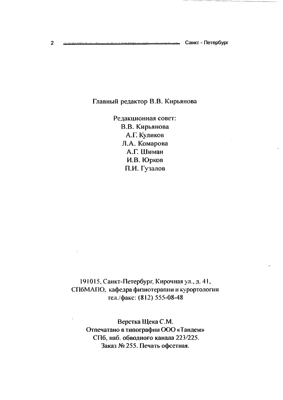## Главный редактор В.В. Кирьянова

Редакционная совет: В.В. Кирьянова А.Г. Куликов Л.А. Комарова А.Г. Шиман И.В. Юрков П.И. Гузалов

191015, Санкт-Петербург, Кирочная ул., д. 41, СПбМАПО, кафедра физиотерапни и курортологии тел./факс: (812) 555-08-48

Верстка Щека С.М. Отпечатано в типографии ООО «Тандем» СПб, наб. обводного канала 223/225. Заказ № 255. Печать офсетная.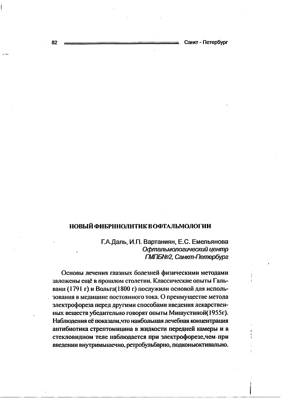## **НОВЫЙ ФИБРИНОЛИТИК В ОФТАЛЬМОЛОГИИ**

Г.А.Даль, И.П. Вартаниян, Е.С. Емельянова Офтальмологический центр ГМПБ№2, Санкт-Петербург

Основы лечения глазных болезней физическими методами заложены ещё в прошлом столетии. Классические опыты Гальвани (1791 г) и Вольта (1800 г) послужили основой для использования в медицине постоянного тока. О преимуществе метода электрофореза перед другими способами введения лекарственных веществ убедительно говорят опыты Мишустиной(1955г). Наблюдения её показали, что наибольшая лечебная концентрация антибиотика стрептомицина в жидкости передней камеры и в стекловидном теле наблюдается при электрофорезе, чем при введении внутримышечно, ретробульбарно, подконью ктивально.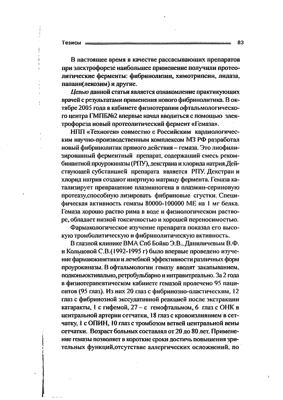Тезисы

В настоящее время в качестве рассасывающих препаратов при электрофорезе наибольшее применение получили протеолитические ферменты: фибринолизин, химотрипсин, лидаза, папаин(лекозим) и другие.

Целью данной статьи является ознакомление практикующих врачей с результатами применения нового фибринолитика. В октябре 2005 года в кабинете физиотерапии офтальмологического центра ГМПБ№2 впервые начал вводиться с помощью электрофореза новый протеолитический фермент «Гемаза».

НПП «Техноген» совместно с Российским кардиологическим научно-производственным комплексом МЗ РФ разработал новый фибринолитик прямого действия - гемаза. Это лиофилизированный ферментный препарат, содержащий смесь рекомбинантной проурокиназы (РПУ), декстрана и хлорида натрия. Действующей субстанцией препарата является РПУ. Декстран и хлорид натрия создают инертную матрицу фермента. Гемаза катализирует превращение плазминогена в плазмин-сериновую протеазу, способную лизировать фибриновые сгустки. Специфическая активность гемазы 80000-100000 МЕ на 1 мг белка. Гемаза хорошо раство рима в воде и физиологическом растворе, обладает низкой токсичностью и хорошей переносимостью.

Фармакологическое изучение препарата показал его высокую тромболитическую и фибринолитическую активность.

В глазной клинике ВМА Спб Бойко Э.В., Даниличевым В.Ф. и Кольцовой С.В.(1992-1995 г) было впервые проведено изучение фармакокинетики и лечебной эффективности различных форм проурокиназы. В офтальмологии гемазу вводят закапыванием, подконью ктивально, ретробульбарно и интравитреально. За 2 года в физиотерапевтическом кабинете гемазой пролечено 95 пациентов (95 глаз). Из них 20 глаз с фибринозно-пластическим, 12 глаз с фибринозной экссудативной реакцией после экстракции катаракты, 1 с гифемой, 27 - с гемофтальмом, 6 глаз с ОНК в центральной артерии сетчатки, 18 глаз с кровоизлиянием в сетчатку, 1 с ОПИН, 10 глаз с тромбозом ветвей центральной вены сетчатки. Возраст больных составлял от 20 до 80 лет. Применение гемазы позволяет в короткие сроки достичь повышения зрительных функций, отсутствие аллергических осложнений, по

83